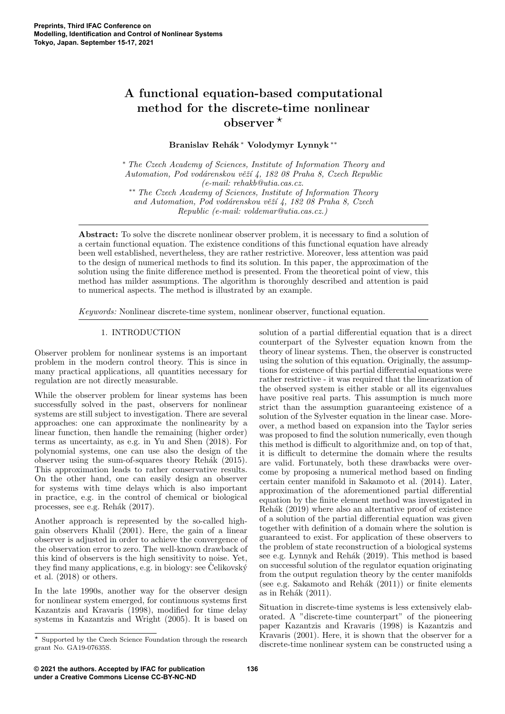# A functional equation-based computational method for the discrete-time nonlinear observer  $*$

Branislav Rehák <sup>∗</sup> Volodymyr Lynnyk <sup>∗</sup>\*

<sup>∗</sup> The Czech Academy of Sciences, Institute of Information Theory and Automation, Pod vodárenskou věží 4, 182 08 Praha 8, Czech Republic (e-mail: rehakb@utia.cas.cz. ∗∗ The Czech Academy of Sciences, Institute of Information Theory and Automation, Pod vodárenskou věží 4, 182 08 Praha 8, Czech Republic (e-mail: voldemar@utia.cas.cz.)

Abstract: To solve the discrete nonlinear observer problem, it is necessary to find a solution of a certain functional equation. The existence conditions of this functional equation have already been well established, nevertheless, they are rather restrictive. Moreover, less attention was paid to the design of numerical methods to find its solution. In this paper, the approximation of the solution using the finite difference method is presented. From the theoretical point of view, this method has milder assumptions. The algorithm is thoroughly described and attention is paid to numerical aspects. The method is illustrated by an example.

Keywords: Nonlinear discrete-time system, nonlinear observer, functional equation.

# 1. INTRODUCTION

Observer problem for nonlinear systems is an important problem in the modern control theory. This is since in many practical applications, all quantities necessary for regulation are not directly measurable.

While the observer problem for linear systems has been successfully solved in the past, observers for nonlinear systems are still subject to investigation. There are several approaches: one can approximate the nonlinearity by a linear function, then handle the remaining (higher order) terms as uncertainty, as e.g. in Yu and Shen (2018). For polynomial systems, one can use also the design of the observer using the sum-of-squares theory Rehák (2015). This approximation leads to rather conservative results. On the other hand, one can easily design an observer for systems with time delays which is also important in practice, e.g. in the control of chemical or biological processes, see e.g. Rehák (2017).

Another approach is represented by the so-called highgain observers Khalil (2001). Here, the gain of a linear observer is adjusted in order to achieve the convergence of the observation error to zero. The well-known drawback of this kind of observers is the high sensitivity to noise. Yet, they find many applications, e.g. in biology: see Celikovský et al. (2018) or others.

In the late 1990s, another way for the observer design for nonlinear system emerged, for continuous systems first Kazantzis and Kravaris (1998), modified for time delay systems in Kazantzis and Wright (2005). It is based on

solution of a partial differential equation that is a direct counterpart of the Sylvester equation known from the theory of linear systems. Then, the observer is constructed using the solution of this equation. Originally, the assumptions for existence of this partial differential equations were rather restrictive - it was required that the linearization of the observed system is either stable or all its eigenvalues have positive real parts. This assumption is much more strict than the assumption guaranteeing existence of a solution of the Sylvester equation in the linear case. Moreover, a method based on expansion into the Taylor series was proposed to find the solution numerically, even though this method is difficult to algorithmize and, on top of that, it is difficult to determine the domain where the results are valid. Fortunately, both these drawbacks were overcome by proposing a numerical method based on finding certain center manifold in Sakamoto et al. (2014). Later, approximation of the aforementioned partial differential equation by the finite element method was investigated in Rehák (2019) where also an alternative proof of existence of a solution of the partial differential equation was given together with definition of a domain where the solution is guaranteed to exist. For application of these observers to the problem of state reconstruction of a biological systems see e.g. Lynnyk and Rehák (2019). This method is based on successful solution of the regulator equation originating from the output regulation theory by the center manifolds (see e.g. Sakamoto and Rehák  $(2011)$ ) or finite elements as in Rehák  $(2011)$ .

Situation in discrete-time systems is less extensively elaborated. A "discrete-time counterpart" of the pioneering paper Kazantzis and Kravaris (1998) is Kazantzis and Kravaris (2001). Here, it is shown that the observer for a discrete-time nonlinear system can be constructed using a

 $\star$  Supported by the Czech Science Foundation through the research grant No. GA19-07635S.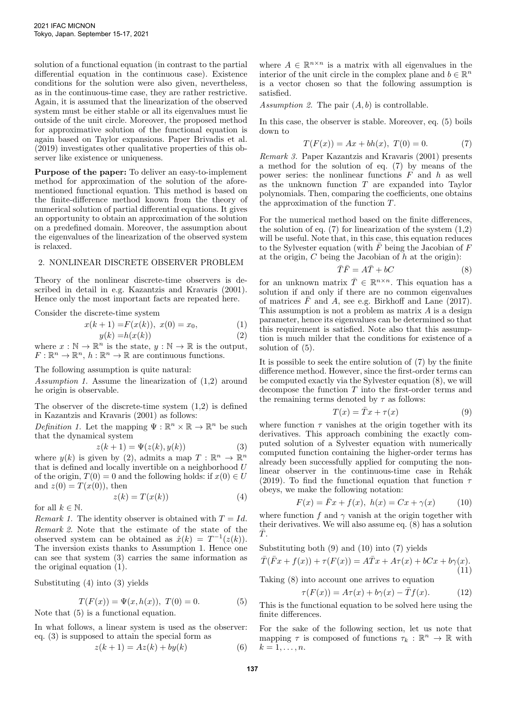solution of a functional equation (in contrast to the partial differential equation in the continuous case). Existence conditions for the solution were also given, nevertheless, as in the continuous-time case, they are rather restrictive. Again, it is assumed that the linearization of the observed system must be either stable or all its eigenvalues must lie outside of the unit circle. Moreover, the proposed method for approximative solution of the functional equation is again based on Taylor expansions. Paper Brivadis et al. (2019) investigates other qualitative properties of this observer like existence or uniqueness.

Purpose of the paper: To deliver an easy-to-implement method for approximation of the solution of the aforementioned functional equation. This method is based on the finite-difference method known from the theory of numerical solution of partial differential equations. It gives an opportunity to obtain an approximation of the solution on a predefined domain. Moreover, the assumption about the eigenvalues of the linearization of the observed system is relaxed.

#### 2. NONLINEAR DISCRETE OBSERVER PROBLEM

Theory of the nonlinear discrete-time observers is described in detail in e.g. Kazantzis and Kravaris (2001). Hence only the most important facts are repeated here.

Consider the discrete-time system

$$
x(k+1) = F(x(k)), \ x(0) = x_0,\tag{1}
$$

$$
y(k) = h(x(k))\tag{2}
$$

where  $x : \mathbb{N} \to \mathbb{R}^n$  is the state,  $y : \mathbb{N} \to \mathbb{R}$  is the output,  $F: \mathbb{R}^n \to \mathbb{R}^n$ ,  $h: \mathbb{R}^n \to \mathbb{R}$  are continuous functions.

The following assumption is quite natural:

Assumption 1. Assume the linearization of (1,2) around he origin is observable.

The observer of the discrete-time system (1,2) is defined in Kazantzis and Kravaris (2001) as follows:

Definition 1. Let the mapping  $\Psi : \mathbb{R}^n \times \mathbb{R} \to \mathbb{R}^n$  be such that the dynamical system

$$
z(k+1) = \Psi(z(k), y(k))
$$
 (3)

where  $y(k)$  is given by (2), admits a map  $T : \mathbb{R}^n \to \mathbb{R}^n$ that is defined and locally invertible on a neighborhood  $U$ of the origin,  $T(0) = 0$  and the following holds: if  $x(0) \in U$ and  $z(0) = T(x(0))$ , then

$$
z(k) = T(x(k))\tag{4}
$$

for all  $k \in \mathbb{N}$ .

Remark 1. The identity observer is obtained with  $T = Id$ . Remark 2. Note that the estimate of the state of the observed system can be obtained as  $\hat{x}(k) = T^{-1}(z(k)).$ The inversion exists thanks to Assumption 1. Hence one can see that system (3) carries the same information as the original equation (1).

Substituting (4) into (3) yields

$$
T(F(x)) = \Psi(x, h(x)), T(0) = 0.
$$
 (5)

Note that (5) is a functional equation.

In what follows, a linear system is used as the observer: eq. (3) is supposed to attain the special form as

$$
z(k+1) = Az(k) + by(k)
$$
 (6)

where  $A \in \mathbb{R}^{n \times n}$  is a matrix with all eigenvalues in the interior of the unit circle in the complex plane and  $b \in \mathbb{R}^n$ is a vector chosen so that the following assumption is satisfied.

Assumption 2. The pair  $(A, b)$  is controllable.

In this case, the observer is stable. Moreover, eq. (5) boils down to

$$
T(F(x)) = Ax + bh(x), T(0) = 0.
$$
 (7)

Remark 3. Paper Kazantzis and Kravaris (2001) presents a method for the solution of eq. (7) by means of the power series: the nonlinear functions  $\overrightarrow{F}$  and  $h$  as well as the unknown function  $T$  are expanded into Taylor polynomials. Then, comparing the coefficients, one obtains the approximation of the function T.

For the numerical method based on the finite differences, the solution of eq.  $(7)$  for linearization of the system  $(1,2)$ will be useful. Note that, in this case, this equation reduces to the Sylvester equation (with  $\bar{F}$  being the Jacobian of  $F$ at the origin,  $C$  being the Jacobian of  $h$  at the origin):

$$
\bar{T}\bar{F} = A\bar{T} + bC\tag{8}
$$

for an unknown matrix  $\overline{T} \in \mathbb{R}^{n \times n}$ . This equation has a solution if and only if there are no common eigenvalues of matrices  $\overline{F}$  and A, see e.g. Birkhoff and Lane (2017). This assumption is not a problem as matrix  $A$  is a design parameter, hence its eigenvalues can be determined so that this requirement is satisfied. Note also that this assumption is much milder that the conditions for existence of a solution of (5).

It is possible to seek the entire solution of (7) by the finite difference method. However, since the first-order terms can be computed exactly via the Sylvester equation (8), we will decompose the function T into the first-order terms and the remaining terms denoted by  $\tau$  as follows:

$$
T(x) = \bar{T}x + \tau(x) \tag{9}
$$

where function  $\tau$  vanishes at the origin together with its derivatives. This approach combining the exactly computed solution of a Sylvester equation with numerically computed function containing the higher-order terms has already been successfully applied for computing the nonlinear observer in the continuous-time case in Rehák (2019). To find the functional equation that function  $\tau$ obeys, we make the following notation:

$$
F(x) = \bar{F}x + f(x), \ h(x) = Cx + \gamma(x) \tag{10}
$$

where function f and  $\gamma$  vanish at the origin together with their derivatives. We will also assume eq.  $(8)$  has a solution  $\bar{T}$ .

Substituting both (9) and (10) into (7) yields  
\n
$$
\overline{T}(\overline{F}x + f(x)) + \tau(F(x)) = A\overline{T}x + A\tau(x) + bCx + b\gamma(x).
$$
\n(11)  
\nTaking (8) into account one arrives to equation

$$
\tau(F(x)) = A\tau(x) + b\gamma(x) - \overline{T}f(x).
$$
 (12)

This is the functional equation to be solved here using the finite differences.

For the sake of the following section, let us note that mapping  $\tau$  is composed of functions  $\tau_k : \mathbb{R}^n \to \mathbb{R}$  with  $k=1,\ldots,n$ .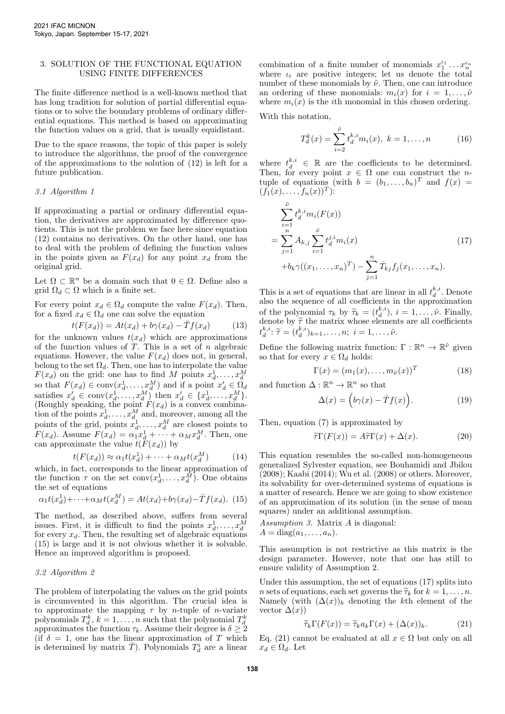# 3. SOLUTION OF THE FUNCTIONAL EQUATION USING FINITE DIFFERENCES

The finite difference method is a well-known method that has long tradition for solution of partial differential equations or to solve the boundary problems of ordinary differential equations. This method is based on approximating the function values on a grid, that is usually equidistant.

Due to the space reasons, the topic of this paper is solely to introduce the algorithms, the proof of the convergence of the approximations to the solution of (12) is left for a future publication.

# 3.1 Algorithm 1

If approximating a partial or ordinary differential equation, the derivatives are approximated by difference quotients. This is not the problem we face here since equation (12) contains no derivatives. On the other hand, one has to deal with the problem of defining the function values in the points given as  $F(x_d)$  for any point  $x_d$  from the original grid.

Let  $\Omega \subset \mathbb{R}^n$  be a domain such that  $0 \in \Omega$ . Define also a grid  $\Omega_d \subset \Omega$  which is a finite set.

For every point  $x_d \in \Omega_d$  compute the value  $F(x_d)$ . Then, for a fixed  $x_d \in \Omega_d$  one can solve the equation

$$
t(F(x_d)) = At(x_d) + b\gamma(x_d) - \bar{T}f(x_d)
$$
 (13)

for the unknown values  $t(x_d)$  which are approximations of the function values of  $T$ . This is a set of  $n$  algebraic equations. However, the value  $F(x_d)$  does not, in general, belong to the set  $\Omega_d$ . Then, one has to interpolate the value  $F(x_d)$  on the grid: one has to find M points  $x_d^1, \ldots, x_d^M$ <br>so that  $F(x_d) \in \text{conv}(x_d^1, \ldots, x_d^M)$  and if a point  $x_d' \in \Omega_d$ satisfies  $x'_d \in \text{conv}(x_d^1, \ldots, x_d^M)$  then  $x'_d \in \{x_d^1, \ldots, x_d^M\}$ . (Roughly speaking, the point  $F(x_d)$  is a convex combination of the points  $x_d^1, \ldots, x_d^M$  and, moreover, among all the points of the grid, points  $x_d^1, \ldots, x_d^M$  are closest points to  $F(x_d)$ . Assume  $F(x_d) = \alpha_1 x_d^1 + \cdots + \alpha_M x_d^M$ . Then, one can approximate the value  $t(F(x_d))$  by

$$
t(F(x_d)) \approx \alpha_1 t(x_d^1) + \dots + \alpha_M t(x_d^M) \tag{14}
$$

which, in fact, corresponds to the linear approximation of the function  $\tau$  on the set  $\text{conv}(x_d^1, \ldots, x_d^M)$ . One obtains the set of equations

$$
\alpha_1 t(x_d^1) + \cdots + \alpha_M t(x_d^M) = At(x_d) + b\gamma(x_d) - \overline{T}f(x_d). \tag{15}
$$

The method, as described above, suffers from several issues. First, it is difficult to find the points  $x_d^1, \ldots, x_d^M$ for every  $x_d$ . Then, the resulting set of algebraic equations (15) is large and it is not obvious whether it is solvable. Hence an improved algorithm is proposed.

## 3.2 Algorithm 2

The problem of interpolating the values on the grid points is circumvented in this algorithm. The crucial idea is to approximate the mapping  $\tau$  by *n*-tuple of *n*-variate polynomials  $T_d^k$ ,  $k = 1, ..., n$  such that the polynomial  $T_d^k$ approximates the function  $\tau_k$ . Assume their degree is  $\delta \geq 2$ (if  $\delta = 1$ , one has the linear approximation of T which is determined by matrix  $\overline{T}$ ). Polynomials  $T_d^i$  are a linear

combination of a finite number of monomials  $x_1^{t_1} \dots x_n^{t_n}$ where  $\iota_i$  are positive integers; let us denote the total number of these monomials by  $\tilde{\nu}$ . Then, one can introduce an ordering of these monomials:  $m_i(x)$  for  $i = 1, \ldots, \tilde{\nu}$ where  $m_i(x)$  is the *i*th monomial in this chosen ordering.

With this notation,

$$
T_d^k(x) = \sum_{i=2}^{\tilde{\nu}} t_d^{k,i} m_i(x), \ k = 1, \dots, n \tag{16}
$$

where  $t_d^{k,i} \in \mathbb{R}$  are the coefficients to be determined. Then, for every point  $x \in \Omega$  one can construct the *n*tuple of equations (with  $b = (b_1, \ldots, b_n)^T$  and  $f(x) =$  $(f_1(x),...,f_n(x))^T$ :

$$
\sum_{i=1}^{\tilde{\nu}} t_d^{k,i} m_i(F(x))
$$
\n
$$
= \sum_{j=1}^n A_{k,j} \sum_{i=1}^{\tilde{\nu}} t_d^{j,i} m_i(x)
$$
\n
$$
+ b_k \gamma((x_1, \dots, x_n)^T) - \sum_{j=1}^n \bar{T}_{kj} f_j(x_1, \dots, x_n).
$$
\n(17)

This is a set of equations that are linear in all  $t_d^{k,i}$ . Denote also the sequence of all coefficients in the approximation of the polynomial  $\tau_k$  by  $\widetilde{\tau}_k = (t_k^{k,i}), i = 1, \ldots, \tilde{\nu}$ . Finally, denote by  $\widetilde{\tau}$  the matrix whose elements are all coefficients denote by  $\widetilde{\tau}$  the matrix whose elements are all coefficients  $t_d^{k,i}$ :  $\widetilde{\tau} = (t_d^{k,i})_{k=1}, \ldots, n$ ;  $i = 1, \ldots, \widetilde{\nu}$ .

Define the following matrix function:  $\Gamma : \mathbb{R}^n \to \mathbb{R}^{\tilde{\nu}}$  given so that for every  $x \in \Omega_d$  holds:

$$
\Gamma(x) = (m_1(x), \dots, m_{\tilde{\nu}}(x))^T
$$
\n(18)

and function  $\Delta : \mathbb{R}^n \to \mathbb{R}^n$  so that

$$
\Delta(x) = \left(b\gamma(x) - \bar{T}f(x)\right). \tag{19}
$$

Then, equation (7) is approximated by

$$
\tilde{\tau}\Gamma(F(x)) = A\tilde{\tau}\Gamma(x) + \Delta(x). \tag{20}
$$

This equation resembles the so-called non-homogeneous generalized Sylvester equation, see Bouhamidi and Jbilou (2008); Kaabi (2014); Wu et al. (2008) or others. Moreover, its solvability for over-determined systems of equations is a matter of research. Hence we are going to show existence of an approximation of its solution (in the sense of mean squares) under an additional assumption.

Assumption 3. Matrix A is diagonal:  $A = diag(a_1, \ldots, a_n).$ 

This assumption is not restrictive as this matrix is the design parameter. However, note that one has still to ensure validity of Assumption 2.

Under this assumption, the set of equations (17) splits into n sets of equations, each set governs the  $\widetilde{\tau}_k$  for  $k = 1, \ldots, n$ . Namely (with  $(\Delta(x))_k$  denoting the kth element of the vector  $\Delta(x)$ )

$$
\widetilde{\tau}_k \Gamma(F(x)) = \widetilde{\tau}_k a_k \Gamma(x) + (\Delta(x))_k. \tag{21}
$$

Eq. (21) cannot be evaluated at all  $x \in \Omega$  but only on all  $x_d \in \Omega_d$ . Let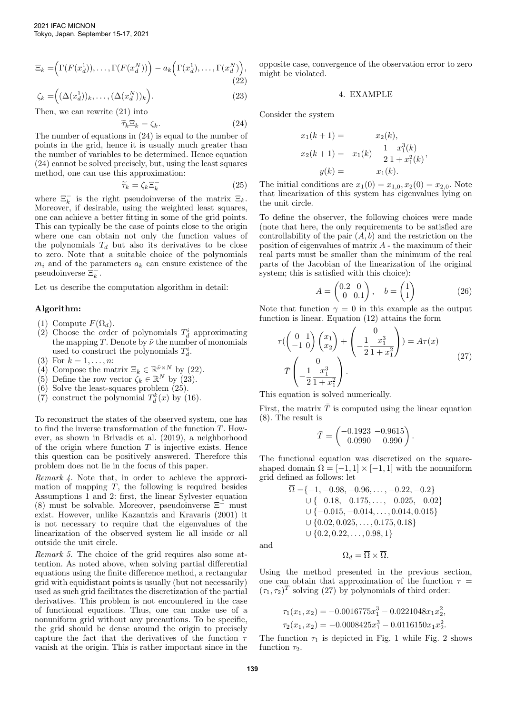$$
\Xi_k = \left(\Gamma(F(x_d^1)), \dots, \Gamma(F(x_d^N))\right) - a_k\left(\Gamma(x_d^1), \dots, \Gamma(x_d^N)\right),\tag{22}
$$

$$
\zeta_k = \left( (\Delta(x_d^1))_k, \dots, (\Delta(x_d^N))_k \right). \tag{23}
$$

Then, we can rewrite (21) into

$$
\zeta_k \Xi_k = \zeta_k. \tag{24}
$$

 $\widetilde{\tau}_k \Xi_k = \zeta_k.$  (24)<br>The number of equations in (24) is equal to the number of points in the grid, hence it is usually much greater than the number of variables to be determined. Hence equation (24) cannot be solved precisely, but, using the least squares method, one can use this approximation:

$$
\widetilde{\tau}_k = \zeta_k \Xi_k^- \tag{25}
$$

where  $\Xi_k^-$  is the right pseudoinverse of the matrix  $\Xi_k$ . Moreover, if desirable, using the weighted least squares, one can achieve a better fitting in some of the grid points. This can typically be the case of points close to the origin where one can obtain not only the function values of the polynomials  $T_d$  but also its derivatives to be close to zero. Note that a suitable choice of the polynomials  $m_i$  and of the parameters  $a_k$  can ensure existence of the pseudoinverse  $\overline{\Xi}_k^-$ .

Let us describe the computation algorithm in detail:

# Algorithm:

- (1) Compute  $F(\Omega_d)$ .
- (2) Choose the order of polynomials  $T_d^i$  approximating the mapping T. Denote by  $\tilde{\nu}$  the number of monomials used to construct the polynomials  $T_d^i$ .
- (3) For  $k = 1, ..., n$ :
- (4) Compose the matrix  $\Xi_k \in \mathbb{R}^{\tilde{\nu} \times N}$  by (22).
- (5) Define the row vector  $\ddot{\zeta}_k \in \mathbb{R}^N$  by (23).
- (6) Solve the least-squares problem (25).
- (7) construct the polynomial  $T_d^k(x)$  by (16).

To reconstruct the states of the observed system, one has to find the inverse transformation of the function T. However, as shown in Brivadis et al. (2019), a neighborhood of the origin where function  $T$  is injective exists. Hence this question can be positively answered. Therefore this problem does not lie in the focus of this paper.

Remark 4. Note that, in order to achieve the approximation of mapping  $T$ , the following is required besides Assumptions 1 and 2: first, the linear Sylvester equation (8) must be solvable. Moreover, pseudoinverse Ξ<sup>−</sup> must exist. However, unlike Kazantzis and Kravaris (2001) it is not necessary to require that the eigenvalues of the linearization of the observed system lie all inside or all outside the unit circle.

Remark 5. The choice of the grid requires also some attention. As noted above, when solving partial differential equations using the finite difference method, a rectangular grid with equidistant points is usually (but not necessarily) used as such grid facilitates the discretization of the partial derivatives. This problem is not encountered in the case of functional equations. Thus, one can make use of a nonuniform grid without any precautions. To be specific, the grid should be dense around the origin to precisely capture the fact that the derivatives of the function  $\tau$ vanish at the origin. This is rather important since in the opposite case, convergence of the observation error to zero might be violated.

#### 4. EXAMPLE

Consider the system

$$
x_1(k+1) = x_2(k),
$$
  
\n
$$
x_2(k+1) = -x_1(k) - \frac{1}{2} \frac{x_1^3(k)}{1 + x_1^2(k)},
$$
  
\n
$$
y(k) = x_1(k).
$$

The initial conditions are  $x_1(0) = x_{1,0}, x_2(0) = x_{2,0}$ . Note that linearization of this system has eigenvalues lying on the unit circle.

To define the observer, the following choices were made (note that here, the only requirements to be satisfied are controllability of the pair  $(A, b)$  and the restriction on the position of eigenvalues of matrix  $A$  - the maximum of their real parts must be smaller than the minimum of the real parts of the Jacobian of the linearization of the original system; this is satisfied with this choice):

$$
A = \begin{pmatrix} 0.2 & 0 \\ 0 & 0.1 \end{pmatrix}, \quad b = \begin{pmatrix} 1 \\ 1 \end{pmatrix} \tag{26}
$$

Note that function  $\gamma = 0$  in this example as the output function is linear. Equation (12) attains the form

 $\lambda$ 

$$
\tau \left( \begin{pmatrix} 0 & 1 \\ -1 & 0 \end{pmatrix} \begin{pmatrix} x_1 \\ x_2 \end{pmatrix} + \begin{pmatrix} 0 \\ -\frac{1}{2} \frac{x_1^3}{1+x_1^2} \end{pmatrix} \right) = A\tau(x)
$$
  

$$
-\bar{T} \begin{pmatrix} 0 \\ -\frac{1}{2} \frac{x_1^3}{1+x_1^2} \end{pmatrix}.
$$
 (27)

This equation is solved numerically.

First, the matrix  $\overline{T}$  is computed using the linear equation (8). The result is

$$
\bar{T} = \begin{pmatrix} -0.1923 & -0.9615 \\ -0.0990 & -0.990 \end{pmatrix}.
$$

The functional equation was discretized on the squareshaped domain  $\Omega = [-1, 1] \times [-1, 1]$  with the nonuniform grid defined as follows: let

$$
\overline{\Omega} = \{-1, -0.98, -0.96, \dots, -0.22, -0.2\}
$$
  
\n
$$
\cup \{-0.18, -0.175, \dots, -0.025, -0.02\}
$$
  
\n
$$
\cup \{-0.015, -0.014, \dots, 0.014, 0.015\}
$$
  
\n
$$
\cup \{0.02, 0.025, \dots, 0.175, 0.18\}
$$
  
\n
$$
\cup \{0.2, 0.22, \dots, 0.98, 1\}
$$

and

$$
\Omega_d = \overline{\Omega} \times \overline{\Omega}.
$$

Using the method presented in the previous section, one can obtain that approximation of the function  $\tau =$  $(\tau_1, \tau_2)^T$  solving (27) by polynomials of third order:

$$
\tau_1(x_1, x_2) = -0.0016775x_1^3 - 0.0221048x_1x_2^2,
$$
  

$$
\tau_2(x_1, x_2) = -0.0008425x_1^3 - 0.0116150x_1x_2^2.
$$

The function  $\tau_1$  is depicted in Fig. 1 while Fig. 2 shows function  $\tau_2$ .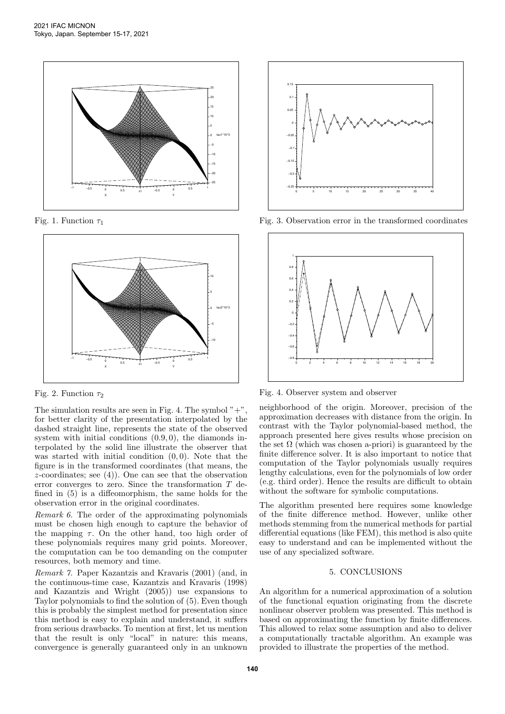

Fig. 1. Function  $\tau_1$ 



Fig. 2. Function  $\tau_2$ 

The simulation results are seen in Fig. 4. The symbol  $" +",$ for better clarity of the presentation interpolated by the dashed straight line, represents the state of the observed system with initial conditions  $(0.9, 0)$ , the diamonds interpolated by the solid line illustrate the observer that was started with initial condition  $(0, 0)$ . Note that the figure is in the transformed coordinates (that means, the  $z$ -coordinates; see (4)). One can see that the observation error converges to zero. Since the transformation T defined in (5) is a diffeomorphism, the same holds for the observation error in the original coordinates.

Remark 6. The order of the approximating polynomials must be chosen high enough to capture the behavior of the mapping  $\tau$ . On the other hand, too high order of these polynomials requires many grid points. Moreover, the computation can be too demanding on the computer resources, both memory and time.

Remark 7. Paper Kazantzis and Kravaris (2001) (and, in the continuous-time case, Kazantzis and Kravaris (1998) and Kazantzis and Wright (2005)) use expansions to Taylor polynomials to find the solution of (5). Even though this is probably the simplest method for presentation since this method is easy to explain and understand, it suffers from serious drawbacks. To mention at first, let us mention that the result is only "local" in nature: this means, convergence is generally guaranteed only in an unknown



Fig. 3. Observation error in the transformed coordinates



Fig. 4. Observer system and observer

neighborhood of the origin. Moreover, precision of the approximation decreases with distance from the origin. In contrast with the Taylor polynomial-based method, the approach presented here gives results whose precision on the set  $\Omega$  (which was chosen a-priori) is guaranteed by the finite difference solver. It is also important to notice that computation of the Taylor polynomials usually requires lengthy calculations, even for the polynomials of low order (e.g. third order). Hence the results are difficult to obtain without the software for symbolic computations.

The algorithm presented here requires some knowledge of the finite difference method. However, unlike other methods stemming from the numerical methods for partial differential equations (like FEM), this method is also quite easy to understand and can be implemented without the use of any specialized software.

# 5. CONCLUSIONS

An algorithm for a numerical approximation of a solution of the functional equation originating from the discrete nonlinear observer problem was presented. This method is based on approximating the function by finite differences. This allowed to relax some assumption and also to deliver a computationally tractable algorithm. An example was provided to illustrate the properties of the method.